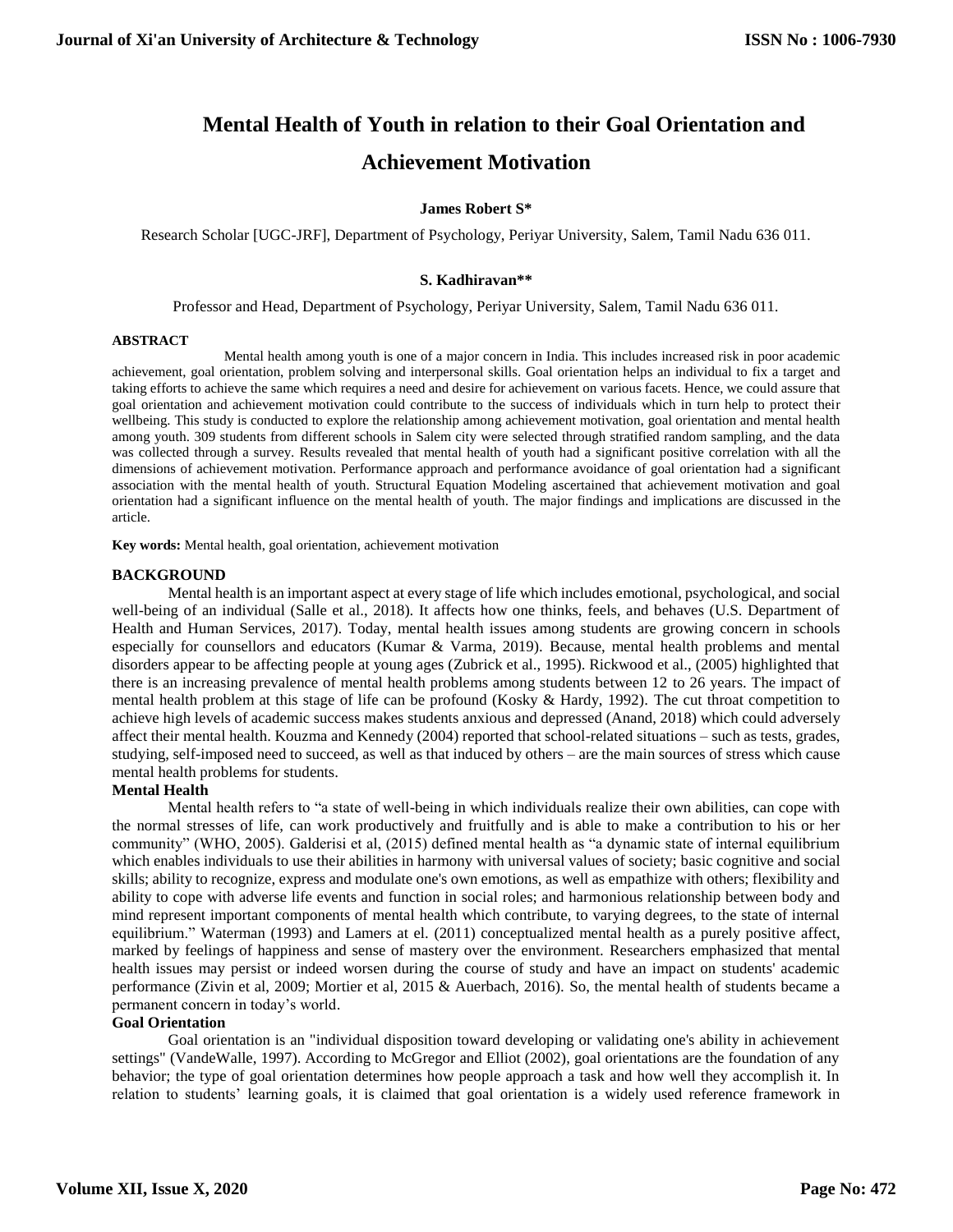# **Mental Health of Youth in relation to their Goal Orientation and Achievement Motivation**

### **James Robert S\***

Research Scholar [UGC-JRF], Department of Psychology, Periyar University, Salem, Tamil Nadu 636 011.

#### **S. Kadhiravan\*\***

Professor and Head, Department of Psychology, Periyar University, Salem, Tamil Nadu 636 011.

#### **ABSTRACT**

Mental health among youth is one of a major concern in India. This includes increased risk in poor academic achievement, goal orientation, problem solving and interpersonal skills. Goal orientation helps an individual to fix a target and taking efforts to achieve the same which requires a need and desire for achievement on various facets. Hence, we could assure that goal orientation and achievement motivation could contribute to the success of individuals which in turn help to protect their wellbeing. This study is conducted to explore the relationship among achievement motivation, goal orientation and mental health among youth. 309 students from different schools in Salem city were selected through stratified random sampling, and the data was collected through a survey. Results revealed that mental health of youth had a significant positive correlation with all the dimensions of achievement motivation. Performance approach and performance avoidance of goal orientation had a significant association with the mental health of youth. Structural Equation Modeling ascertained that achievement motivation and goal orientation had a significant influence on the mental health of youth. The major findings and implications are discussed in the article.

**Key words:** Mental health, goal orientation, achievement motivation

#### **BACKGROUND**

Mental health is an important aspect at every stage of life which includes emotional, psychological, and social well-being of an individual (Salle et al., 2018). It affects how one thinks, feels, and behaves (U.S. Department of Health and Human Services, 2017). Today, mental health issues among students are growing concern in schools especially for counsellors and educators (Kumar & Varma, 2019). Because, mental health problems and mental disorders appear to be affecting people at young ages (Zubrick et al., 1995). Rickwood et al., (2005) highlighted that there is an increasing prevalence of mental health problems among students between 12 to 26 years. The impact of mental health problem at this stage of life can be profound (Kosky & Hardy, 1992). The cut throat competition to achieve high levels of academic success makes students anxious and depressed (Anand, 2018) which could adversely affect their mental health. Kouzma and Kennedy (2004) reported that school-related situations – such as tests, grades, studying, self-imposed need to succeed, as well as that induced by others – are the main sources of stress which cause mental health problems for students.

#### **Mental Health**

Mental health refers to "a state of well-being in which individuals realize their own abilities, can cope with the normal stresses of life, can work productively and fruitfully and is able to make a contribution to his or her community" (WHO, 2005). Galderisi et al, (2015) defined mental health as "a dynamic state of internal equilibrium which enables individuals to use their abilities in harmony with universal values of society; basic cognitive and social skills; ability to recognize, express and modulate one's own emotions, as well as empathize with others; flexibility and ability to cope with adverse life events and function in social roles; and harmonious relationship between body and mind represent important components of mental health which contribute, to varying degrees, to the state of internal equilibrium." Waterman (1993) and Lamers at el. (2011) conceptualized mental health as a purely positive affect, marked by feelings of happiness and sense of mastery over the environment. Researchers emphasized that mental health issues may persist or indeed worsen during the course of study and have an impact on students' academic performance (Zivin et al, 2009; Mortier et al, 2015 & Auerbach, 2016). So, the mental health of students became a permanent concern in today's world.

#### **Goal Orientation**

Goal orientation is an "individual disposition toward developing or validating one's ability in achievement settings" (VandeWalle, 1997). According to McGregor and Elliot (2002), goal orientations are the foundation of any behavior; the type of goal orientation determines how people approach a task and how well they accomplish it. In relation to students' learning goals, it is claimed that goal orientation is a widely used reference framework in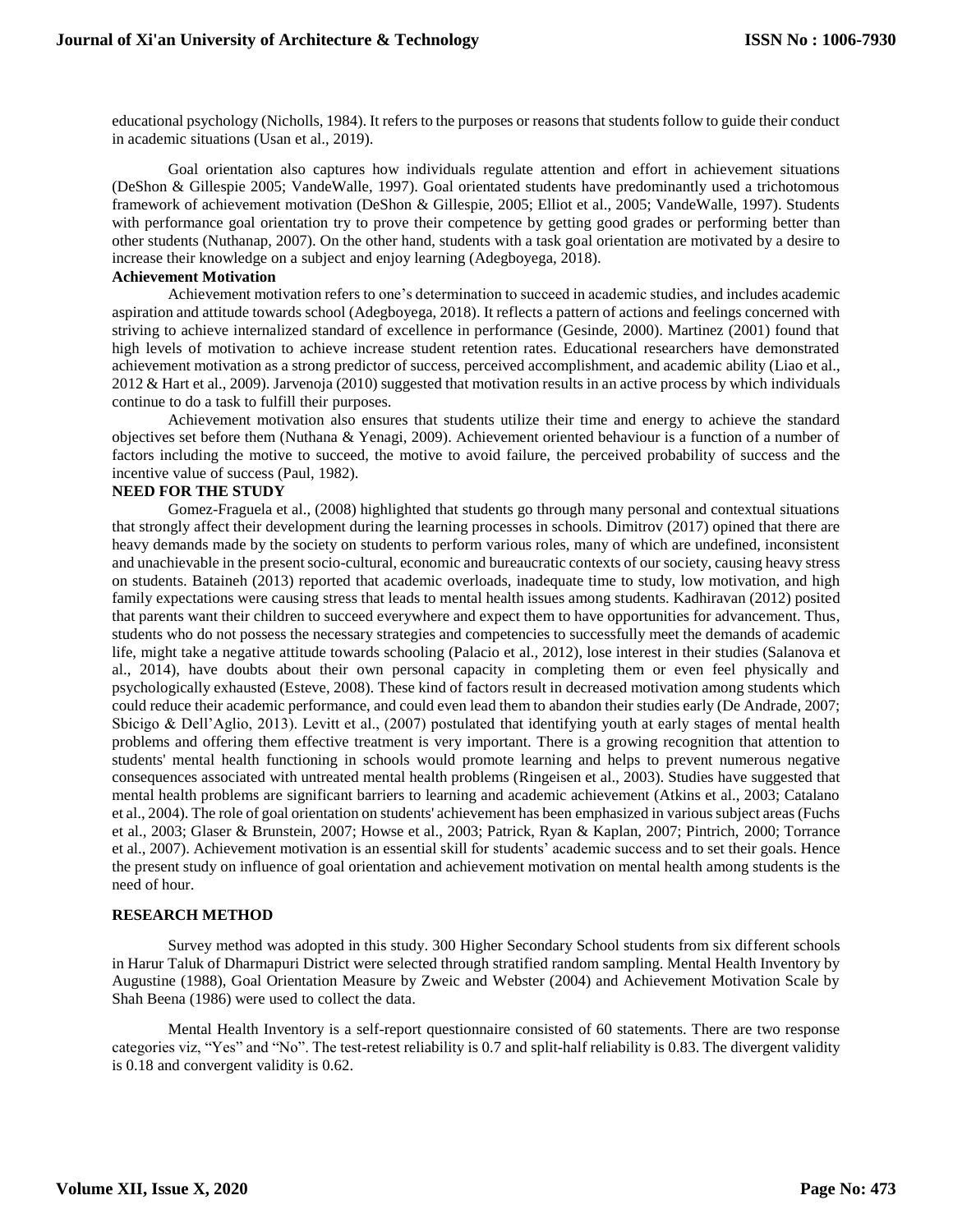educational psychology (Nicholls, 1984). It refers to the purposes or reasons that students follow to guide their conduct in academic situations (Usan et al., 2019).

Goal orientation also captures how individuals regulate attention and effort in achievement situations (DeShon & Gillespie 2005; VandeWalle, 1997). Goal orientated students have predominantly used a trichotomous framework of achievement motivation (DeShon & Gillespie, 2005; Elliot et al., 2005; VandeWalle, 1997). Students with performance goal orientation try to prove their competence by getting good grades or performing better than other students (Nuthanap, 2007). On the other hand, students with a task goal orientation are motivated by a desire to increase their knowledge on a subject and enjoy learning (Adegboyega, 2018).

#### **Achievement Motivation**

Achievement motivation refers to one's determination to succeed in academic studies, and includes academic aspiration and attitude towards school (Adegboyega, 2018). It reflects a pattern of actions and feelings concerned with striving to achieve internalized standard of excellence in performance (Gesinde, 2000). Martinez (2001) found that high levels of motivation to achieve increase student retention rates. Educational researchers have demonstrated achievement motivation as a strong predictor of success, perceived accomplishment, and academic ability (Liao et al., 2012 & Hart et al., 2009). Jarvenoja (2010) suggested that motivation results in an active process by which individuals continue to do a task to fulfill their purposes.

Achievement motivation also ensures that students utilize their time and energy to achieve the standard objectives set before them (Nuthana & Yenagi, 2009). Achievement oriented behaviour is a function of a number of factors including the motive to succeed, the motive to avoid failure, the perceived probability of success and the incentive value of success (Paul, 1982).

#### **NEED FOR THE STUDY**

Gomez-Fraguela et al., (2008) highlighted that students go through many personal and contextual situations that strongly affect their development during the learning processes in schools. Dimitrov (2017) opined that there are heavy demands made by the society on students to perform various roles, many of which are undefined, inconsistent and unachievable in the present socio-cultural, economic and bureaucratic contexts of our society, causing heavy stress on students. Bataineh (2013) reported that academic overloads, inadequate time to study, low motivation, and high family expectations were causing stress that leads to mental health issues among students. Kadhiravan (2012) posited that parents want their children to succeed everywhere and expect them to have opportunities for advancement. Thus, students who do not possess the necessary strategies and competencies to successfully meet the demands of academic life, might take a negative attitude towards schooling (Palacio et al., 2012), lose interest in their studies (Salanova et al., 2014), have doubts about their own personal capacity in completing them or even feel physically and psychologically exhausted (Esteve, 2008). These kind of factors result in decreased motivation among students which could reduce their academic performance, and could even lead them to abandon their studies early (De Andrade, 2007; Sbicigo & Dell'Aglio, 2013). Levitt et al., (2007) postulated that identifying youth at early stages of mental health problems and offering them effective treatment is very important. There is a growing recognition that attention to students' mental health functioning in schools would promote learning and helps to prevent numerous negative consequences associated with untreated mental health problems (Ringeisen et al., 2003). Studies have suggested that mental health problems are significant barriers to learning and academic achievement (Atkins et al., 2003; Catalano et al., 2004). The role of goal orientation on students' achievement has been emphasized in various subject areas (Fuchs et al., 2003; Glaser & Brunstein, 2007; Howse et al., 2003; Patrick, Ryan & Kaplan, 2007; Pintrich, 2000; Torrance et al., 2007). Achievement motivation is an essential skill for students' academic success and to set their goals. Hence the present study on influence of goal orientation and achievement motivation on mental health among students is the need of hour.

#### **RESEARCH METHOD**

Survey method was adopted in this study. 300 Higher Secondary School students from six different schools in Harur Taluk of Dharmapuri District were selected through stratified random sampling. Mental Health Inventory by Augustine (1988), Goal Orientation Measure by Zweic and Webster (2004) and Achievement Motivation Scale by Shah Beena (1986) were used to collect the data.

Mental Health Inventory is a self-report questionnaire consisted of 60 statements. There are two response categories viz, "Yes" and "No". The test-retest reliability is 0.7 and split-half reliability is 0.83. The divergent validity is 0.18 and convergent validity is 0.62.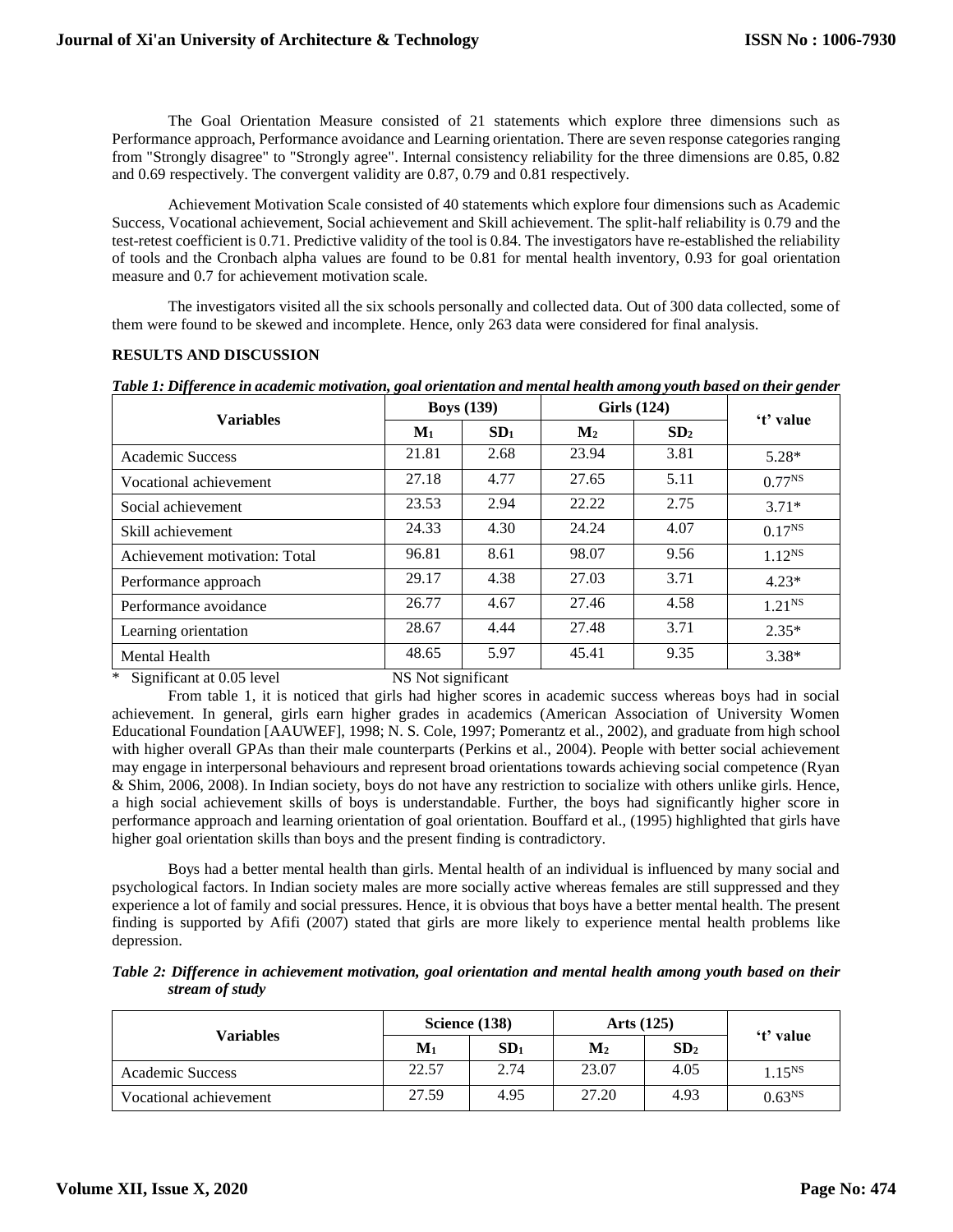The Goal Orientation Measure consisted of 21 statements which explore three dimensions such as Performance approach, Performance avoidance and Learning orientation. There are seven response categories ranging from "Strongly disagree" to "Strongly agree". Internal consistency reliability for the three dimensions are 0.85, 0.82 and 0.69 respectively. The convergent validity are 0.87, 0.79 and 0.81 respectively.

Achievement Motivation Scale consisted of 40 statements which explore four dimensions such as Academic Success, Vocational achievement, Social achievement and Skill achievement. The split-half reliability is 0.79 and the test-retest coefficient is 0.71. Predictive validity of the tool is 0.84. The investigators have re-established the reliability of tools and the Cronbach alpha values are found to be 0.81 for mental health inventory, 0.93 for goal orientation measure and 0.7 for achievement motivation scale.

The investigators visited all the six schools personally and collected data. Out of 300 data collected, some of them were found to be skewed and incomplete. Hence, only 263 data were considered for final analysis.

## **RESULTS AND DISCUSSION**

| Table 1: Difference in academic motivation, goal orientation and mental health among youth based on their gender |  |
|------------------------------------------------------------------------------------------------------------------|--|
|------------------------------------------------------------------------------------------------------------------|--|

|                               |       | <b>Boys</b> (139) |                | <b>Girls</b> (124) |             |  |
|-------------------------------|-------|-------------------|----------------|--------------------|-------------|--|
| <b>Variables</b>              | $M1$  | SD <sub>1</sub>   | $\mathbf{M}_2$ | SD <sub>2</sub>    | 't' value   |  |
| Academic Success              | 21.81 | 2.68              | 23.94          | 3.81               | $5.28*$     |  |
| Vocational achievement        | 27.18 | 4.77              | 27.65          | 5.11               | $0.77^{NS}$ |  |
| Social achievement            | 23.53 | 2.94              | 22.22          | 2.75               | $3.71*$     |  |
| Skill achievement             | 24.33 | 4.30              | 24.24          | 4.07               | $0.17^{NS}$ |  |
| Achievement motivation: Total | 96.81 | 8.61              | 98.07          | 9.56               | $1.12^{NS}$ |  |
| Performance approach          | 29.17 | 4.38              | 27.03          | 3.71               | $4.23*$     |  |
| Performance avoidance         | 26.77 | 4.67              | 27.46          | 4.58               | $1.21^{NS}$ |  |
| Learning orientation          | 28.67 | 4.44              | 27.48          | 3.71               | $2.35*$     |  |
| <b>Mental Health</b>          | 48.65 | 5.97              | 45.41          | 9.35               | $3.38*$     |  |
| .                             |       |                   |                |                    |             |  |

\* Significant at 0.05 level NS Not significant

From table 1, it is noticed that girls had higher scores in academic success whereas boys had in social achievement. In general, girls earn higher grades in academics (American Association of University Women Educational Foundation [AAUWEF], 1998; N. S. Cole, 1997; Pomerantz et al., 2002), and graduate from high school with higher overall GPAs than their male counterparts (Perkins et al., 2004). People with better social achievement may engage in interpersonal behaviours and represent broad orientations towards achieving social competence (Ryan & Shim, 2006, 2008). In Indian society, boys do not have any restriction to socialize with others unlike girls. Hence, a high social achievement skills of boys is understandable. Further, the boys had significantly higher score in performance approach and learning orientation of goal orientation. Bouffard et al., (1995) highlighted that girls have higher goal orientation skills than boys and the present finding is contradictory.

Boys had a better mental health than girls. Mental health of an individual is influenced by many social and psychological factors. In Indian society males are more socially active whereas females are still suppressed and they experience a lot of family and social pressures. Hence, it is obvious that boys have a better mental health. The present finding is supported by Afifi (2007) stated that girls are more likely to experience mental health problems like depression.

*Table 2: Difference in achievement motivation, goal orientation and mental health among youth based on their stream of study*

|                        |                | Science (138)   | Arts $(125)$   |                 |             |
|------------------------|----------------|-----------------|----------------|-----------------|-------------|
| <b>Variables</b>       | $\mathbf{M}_1$ | SD <sub>1</sub> | $\mathbf{M}_2$ | SD <sub>2</sub> | 't' value   |
| Academic Success       | 22.57          | 2.74            | 23.07          | 4.05            | $1.15^{NS}$ |
| Vocational achievement | 27.59          | 4.95            | 27.20          | 4.93            | $0.63^{NS}$ |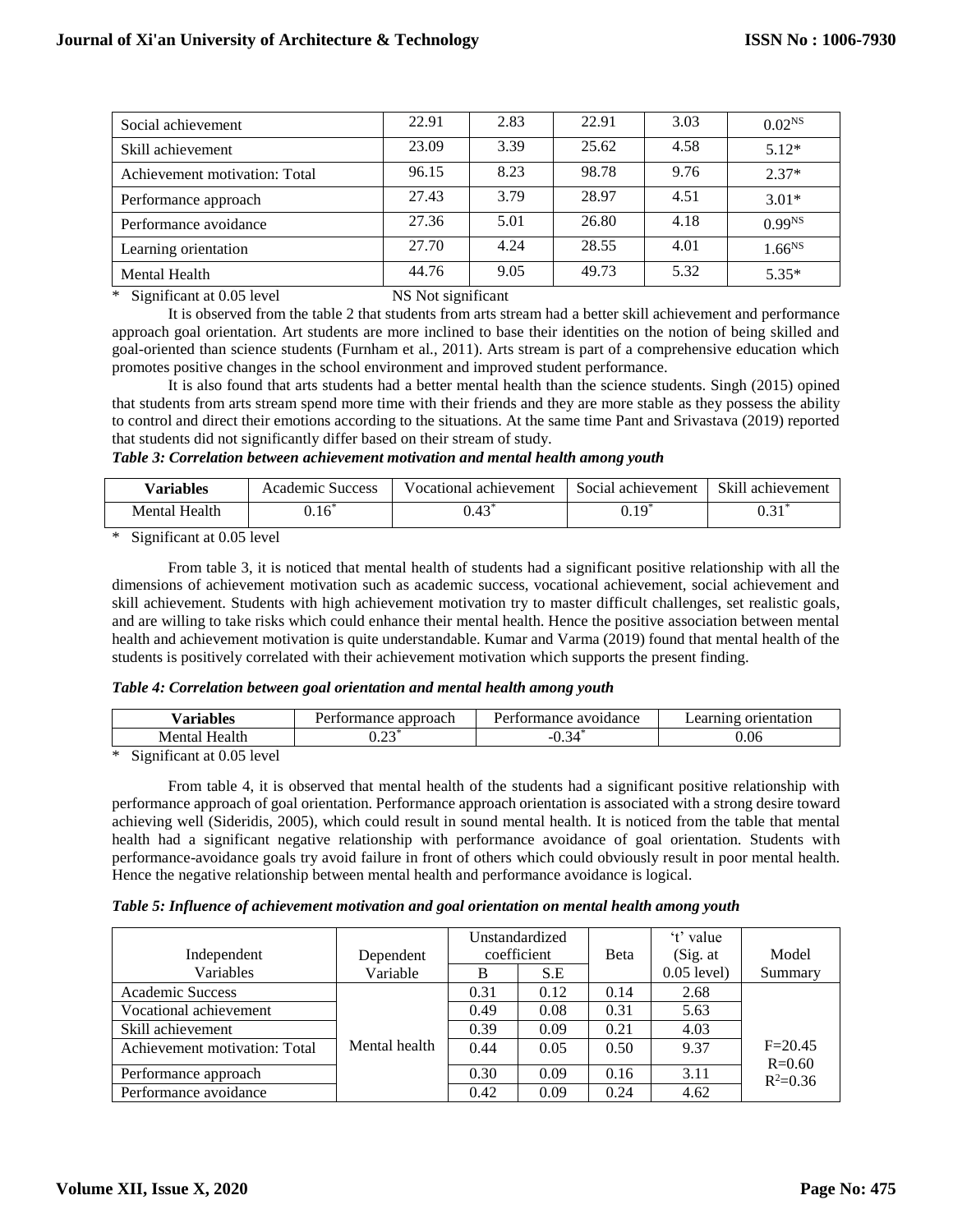| Social achievement            | 22.91 | 2.83 | 22.91 | 3.03 | 0.02 <sup>NS</sup> |
|-------------------------------|-------|------|-------|------|--------------------|
| Skill achievement             | 23.09 | 3.39 | 25.62 | 4.58 | $5.12*$            |
| Achievement motivation: Total | 96.15 | 8.23 | 98.78 | 9.76 | $2.37*$            |
| Performance approach          | 27.43 | 3.79 | 28.97 | 4.51 | $3.01*$            |
| Performance avoidance         | 27.36 | 5.01 | 26.80 | 4.18 | $0.99^{NS}$        |
| Learning orientation          | 27.70 | 4.24 | 28.55 | 4.01 | 1.66 <sup>NS</sup> |
| <b>Mental Health</b>          | 44.76 | 9.05 | 49.73 | 5.32 | $5.35*$            |

\* Significant at 0.05 level NS Not significant

It is observed from the table 2 that students from arts stream had a better skill achievement and performance approach goal orientation. Art students are more inclined to base their identities on the notion of being skilled and goal-oriented than science students (Furnham et al., 2011). Arts stream is part of a comprehensive education which promotes positive changes in the school environment and improved student performance.

It is also found that arts students had a better mental health than the science students. Singh (2015) opined that students from arts stream spend more time with their friends and they are more stable as they possess the ability to control and direct their emotions according to the situations. At the same time Pant and Srivastava (2019) reported that students did not significantly differ based on their stream of study.

#### *Table 3: Correlation between achievement motivation and mental health among youth*

| <b>Variables</b> | Academic<br><b>Success</b> | Vocational<br>achievement      | Social achievement | Skill achievement |
|------------------|----------------------------|--------------------------------|--------------------|-------------------|
| Mental Health    | $0.16^*$                   | $\Lambda$ <sup>2</sup><br>U.4J | $0.19^{*}$         | $\sim$ 4 $\%$     |

\* Significant at 0.05 level

From table 3, it is noticed that mental health of students had a significant positive relationship with all the dimensions of achievement motivation such as academic success, vocational achievement, social achievement and skill achievement. Students with high achievement motivation try to master difficult challenges, set realistic goals, and are willing to take risks which could enhance their mental health. Hence the positive association between mental health and achievement motivation is quite understandable. Kumar and Varma (2019) found that mental health of the students is positively correlated with their achievement motivation which supports the present finding.

#### *Table 4: Correlation between goal orientation and mental health among youth*

| $ -$<br>/ariables                                                                          | armango<br>approach<br>nce<br>ча | avoidance<br>ormance. | $\alpha$<br>orientation<br>. и г |
|--------------------------------------------------------------------------------------------|----------------------------------|-----------------------|----------------------------------|
| Menta <sup>-</sup><br>Health                                                               | $\mathbf{a}$<br>∪.∠J             | ∽<br>--<br>v. J       | 0.06                             |
| $C_{\text{const}}$ $\epsilon_{\text{const}}$ of 0.6 layed<br>ste.<br>$\tilde{\phantom{a}}$ |                                  |                       |                                  |

\* Significant at 0.05 level

From table 4, it is observed that mental health of the students had a significant positive relationship with performance approach of goal orientation. Performance approach orientation is associated with a strong desire toward achieving well (Sideridis, 2005), which could result in sound mental health. It is noticed from the table that mental health had a significant negative relationship with performance avoidance of goal orientation. Students with performance-avoidance goals try avoid failure in front of others which could obviously result in poor mental health. Hence the negative relationship between mental health and performance avoidance is logical.

## *Table 5: Influence of achievement motivation and goal orientation on mental health among youth*

|                               |               |      | Unstandardized |      | 't' value     |                            |
|-------------------------------|---------------|------|----------------|------|---------------|----------------------------|
| Independent                   | Dependent     |      | coefficient    | Beta | (Sig. at)     | Model                      |
| Variables                     | Variable      | B    | S.E            |      | $0.05$ level) | Summary                    |
| <b>Academic Success</b>       |               | 0.31 | 0.12           | 0.14 | 2.68          |                            |
| Vocational achievement        |               | 0.49 | 0.08           | 0.31 | 5.63          |                            |
| Skill achievement             |               | 0.39 | 0.09           | 0.21 | 4.03          |                            |
| Achievement motivation: Total | Mental health | 0.44 | 0.05           | 0.50 | 9.37          | $F = 20.45$                |
| Performance approach          |               | 0.30 | 0.09           | 0.16 | 3.11          | $R = 0.60$<br>$R^2 = 0.36$ |
| Performance avoidance         |               | 0.42 | 0.09           | 0.24 | 4.62          |                            |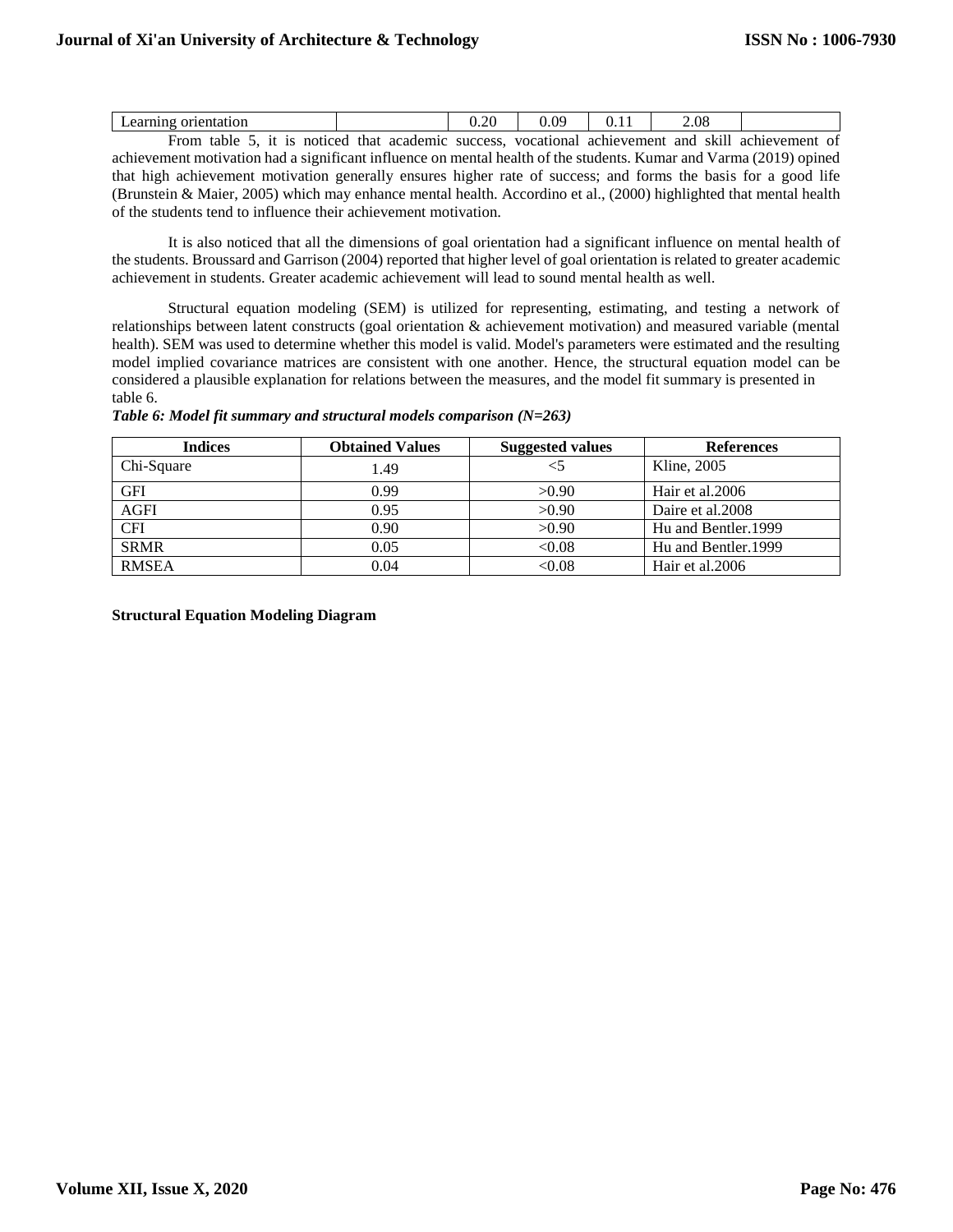| orientat<br>лог<br>гшвэ                 |                  | ററ<br>$J. \angle U$ | OS         |             | $\angle .08$ |             |        |
|-----------------------------------------|------------------|---------------------|------------|-------------|--------------|-------------|--------|
| $H_{r\cap m}$<br>noticed<br>tohle<br>10 | academic<br>that | 01100000            | wocational | achiavamant | ond<br>C Z H | achiavamant | $\sim$ |

From table 5, it is noticed that academic success, vocational achievement and skill achievement of achievement motivation had a significant influence on mental health of the students. Kumar and Varma (2019) opined that high achievement motivation generally ensures higher rate of success; and forms the basis for a good life (Brunstein & Maier, 2005) which may enhance mental health. Accordino et al., (2000) highlighted that mental health of the students tend to influence their achievement motivation.

It is also noticed that all the dimensions of goal orientation had a significant influence on mental health of the students. Broussard and Garrison (2004) reported that higher level of goal orientation is related to greater academic achievement in students. Greater academic achievement will lead to sound mental health as well.

Structural equation modeling (SEM) is utilized for representing, estimating, and testing a network of relationships between latent constructs (goal orientation & achievement motivation) and measured variable (mental health). SEM was used to determine whether this model is valid. Model's parameters were estimated and the resulting model implied covariance matrices are consistent with one another. Hence, the structural equation model can be considered a plausible explanation for relations between the measures, and the model fit summary is presented in table 6.

|  | Table 6: Model fit summary and structural models comparison $(N=263)$ |  |
|--|-----------------------------------------------------------------------|--|
|  |                                                                       |  |

| <b>Indices</b> | <b>Obtained Values</b> | <b>Suggested values</b> | <b>References</b>   |
|----------------|------------------------|-------------------------|---------------------|
| Chi-Square     | 1.49                   |                         | Kline, 2005         |
| <b>GFI</b>     | 0.99                   | >0.90                   | Hair et al.2006     |
| <b>AGFI</b>    | 0.95                   | >0.90                   | Daire et al.2008    |
| <b>CFI</b>     | 0.90                   | >0.90                   | Hu and Bentler.1999 |
| <b>SRMR</b>    | 0.05                   | < 0.08                  | Hu and Bentler.1999 |
| <b>RMSEA</b>   | 0.04                   | < 0.08                  | Hair et al. 2006    |

**Structural Equation Modeling Diagram**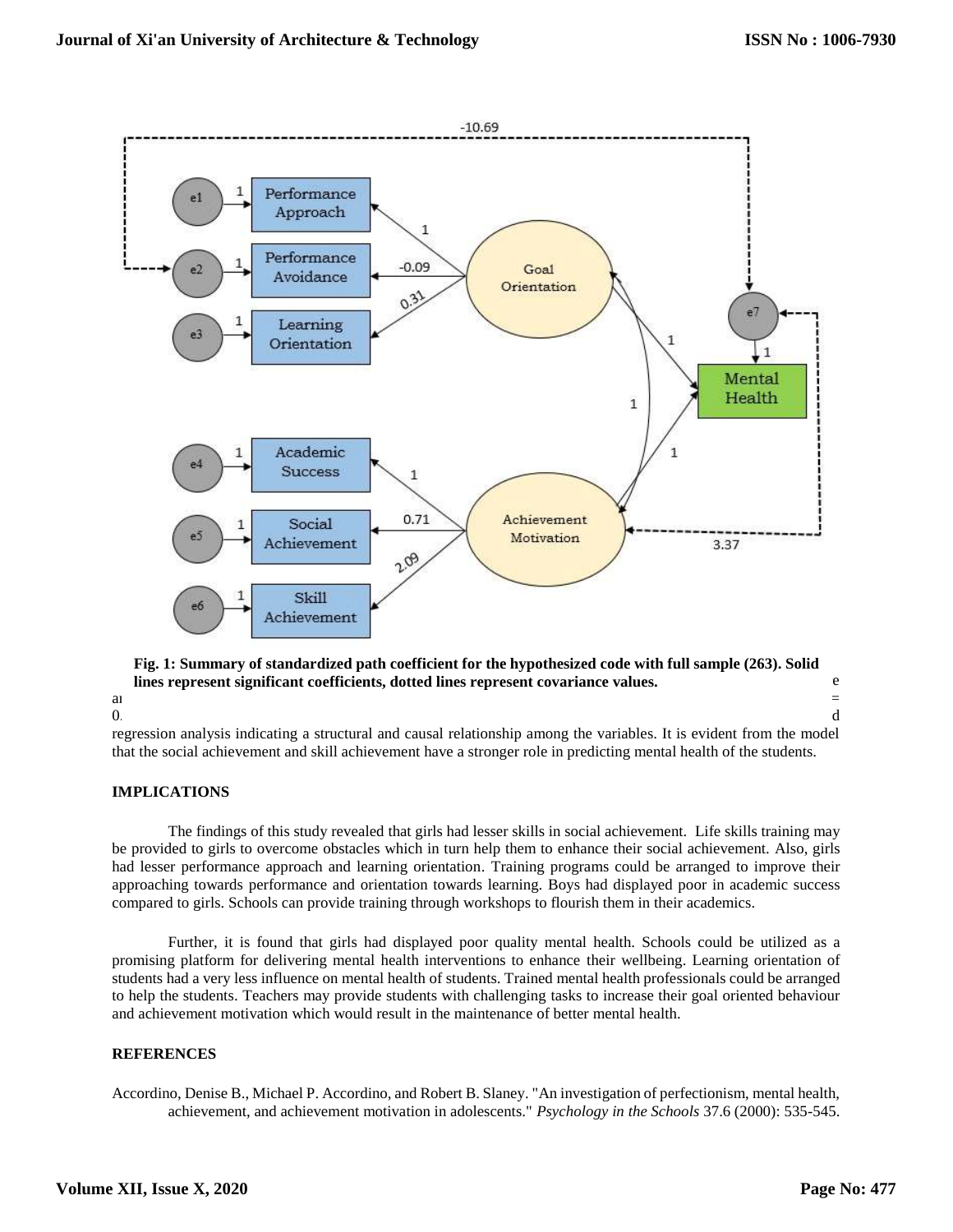

#### lines represent significant coefficients, dotted lines represent covariance values. **EXEC FIT in the model fit indicators were defined as a control of the model fit in the model of the model of the model fit in the model o** and  $\alpha$  satisfactory fit. It was found that all the indicators emerged with acceptable values:  $\alpha$ **Fig. 1: Summary of standardized path coefficient for the hypothesized code with full sample (263). Solid**

 $\sim$ 99; AGFI= 0.05. This model reveals the findings of the findings of correlation and  $\sim$ 

regression analysis indicating a structural and causal relationship among the variables. It is evident from the model that the social achievement and skill achievement have a stronger role in predicting mental health of the students.

## **IMPLICATIONS**

The findings of this study revealed that girls had lesser skills in social achievement. Life skills training may be provided to girls to overcome obstacles which in turn help them to enhance their social achievement. Also, girls had lesser performance approach and learning orientation. Training programs could be arranged to improve their approaching towards performance and orientation towards learning. Boys had displayed poor in academic success compared to girls. Schools can provide training through workshops to flourish them in their academics.

Further, it is found that girls had displayed poor quality mental health. Schools could be utilized as a promising platform for delivering mental health interventions to enhance their wellbeing. Learning orientation of students had a very less influence on mental health of students. Trained mental health professionals could be arranged to help the students. Teachers may provide students with challenging tasks to increase their goal oriented behaviour and achievement motivation which would result in the maintenance of better mental health.

## **REFERENCES**

Accordino, Denise B., Michael P. Accordino, and Robert B. Slaney. "An investigation of perfectionism, mental health, achievement, and achievement motivation in adolescents." *Psychology in the Schools* 37.6 (2000): 535-545.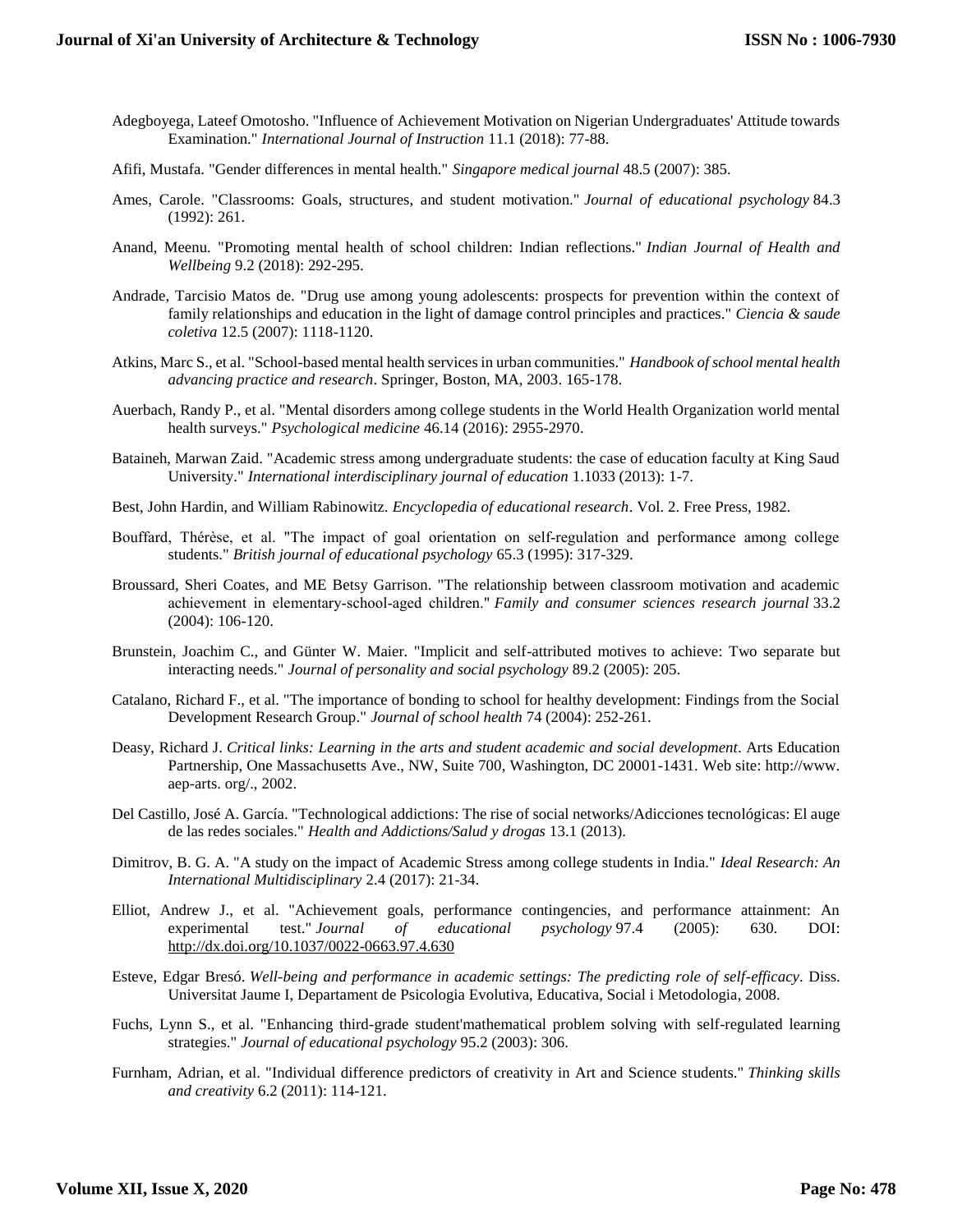- Adegboyega, Lateef Omotosho. "Influence of Achievement Motivation on Nigerian Undergraduates' Attitude towards Examination." *International Journal of Instruction* 11.1 (2018): 77-88.
- Afifi, Mustafa. "Gender differences in mental health." *Singapore medical journal* 48.5 (2007): 385.
- Ames, Carole. "Classrooms: Goals, structures, and student motivation." *Journal of educational psychology* 84.3 (1992): 261.
- Anand, Meenu. "Promoting mental health of school children: Indian reflections." *Indian Journal of Health and Wellbeing* 9.2 (2018): 292-295.
- Andrade, Tarcisio Matos de. "Drug use among young adolescents: prospects for prevention within the context of family relationships and education in the light of damage control principles and practices." *Ciencia & saude coletiva* 12.5 (2007): 1118-1120.
- Atkins, Marc S., et al. "School-based mental health services in urban communities." *Handbook of school mental health advancing practice and research*. Springer, Boston, MA, 2003. 165-178.
- Auerbach, Randy P., et al. "Mental disorders among college students in the World Health Organization world mental health surveys." *Psychological medicine* 46.14 (2016): 2955-2970.
- Bataineh, Marwan Zaid. "Academic stress among undergraduate students: the case of education faculty at King Saud University." *International interdisciplinary journal of education* 1.1033 (2013): 1-7.
- Best, John Hardin, and William Rabinowitz. *Encyclopedia of educational research*. Vol. 2. Free Press, 1982.
- Bouffard, Thérèse, et al. "The impact of goal orientation on self-regulation and performance among college students." *British journal of educational psychology* 65.3 (1995): 317-329.
- Broussard, Sheri Coates, and ME Betsy Garrison. "The relationship between classroom motivation and academic achievement in elementary‐school‐aged children." *Family and consumer sciences research journal* 33.2 (2004): 106-120.
- Brunstein, Joachim C., and Günter W. Maier. "Implicit and self-attributed motives to achieve: Two separate but interacting needs." *Journal of personality and social psychology* 89.2 (2005): 205.
- Catalano, Richard F., et al. "The importance of bonding to school for healthy development: Findings from the Social Development Research Group." *Journal of school health* 74 (2004): 252-261.
- Deasy, Richard J. *Critical links: Learning in the arts and student academic and social development*. Arts Education Partnership, One Massachusetts Ave., NW, Suite 700, Washington, DC 20001-1431. Web site: http://www. aep-arts. org/., 2002.
- Del Castillo, José A. García. "Technological addictions: The rise of social networks/Adicciones tecnológicas: El auge de las redes sociales." *Health and Addictions/Salud y drogas* 13.1 (2013).
- Dimitrov, B. G. A. "A study on the impact of Academic Stress among college students in India." *Ideal Research: An International Multidisciplinary* 2.4 (2017): 21-34.
- Elliot, Andrew J., et al. "Achievement goals, performance contingencies, and performance attainment: An experimental test." *Journal of educational psychology* 97.4 (2005): 630. DOI: <http://dx.doi.org/10.1037/0022-0663.97.4.630>
- Esteve, Edgar Bresó. *Well-being and performance in academic settings: The predicting role of self-efficacy*. Diss. Universitat Jaume I, Departament de Psicologia Evolutiva, Educativa, Social i Metodologia, 2008.
- Fuchs, Lynn S., et al. "Enhancing third-grade student'mathematical problem solving with self-regulated learning strategies." *Journal of educational psychology* 95.2 (2003): 306.
- Furnham, Adrian, et al. "Individual difference predictors of creativity in Art and Science students." *Thinking skills and creativity* 6.2 (2011): 114-121.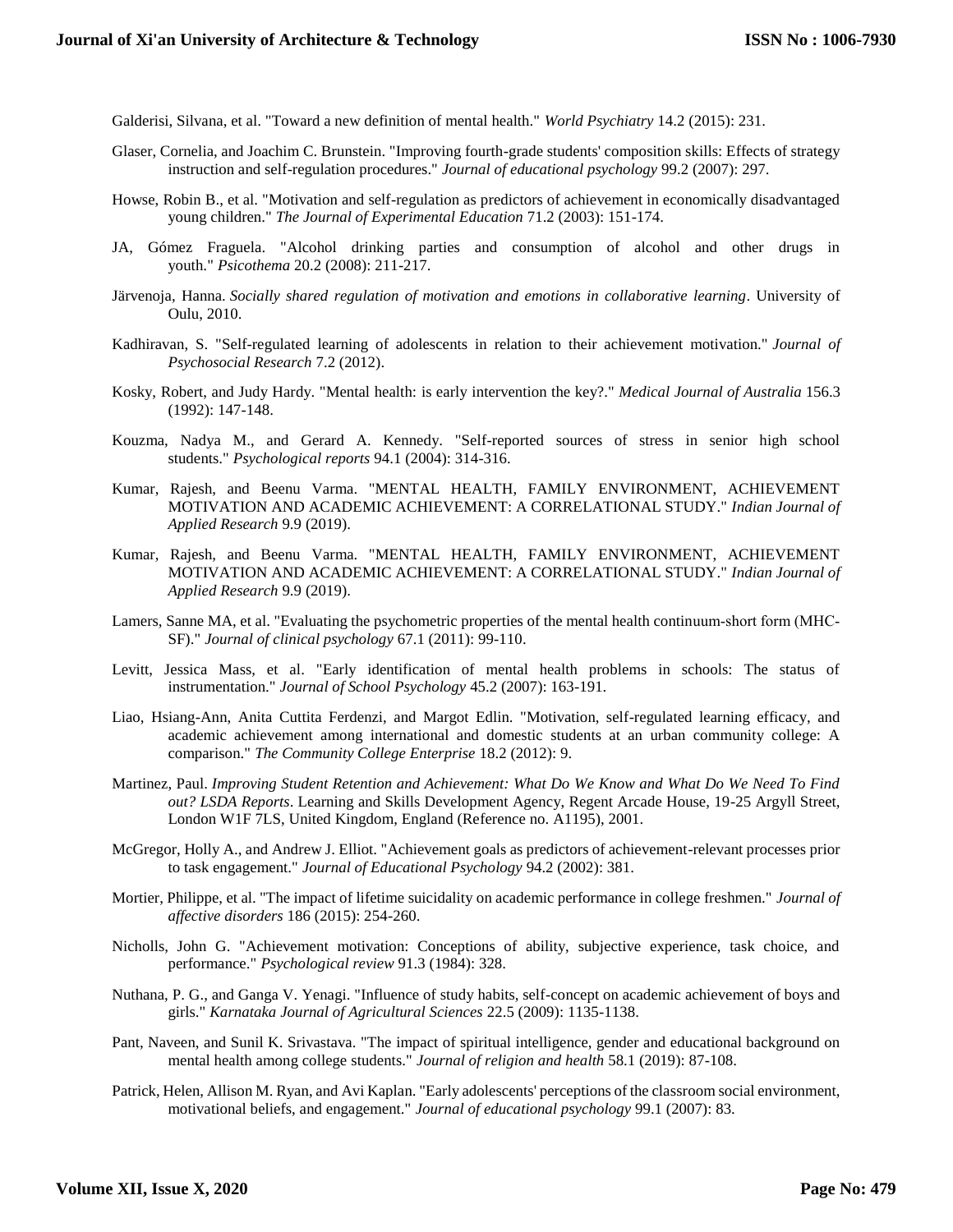Galderisi, Silvana, et al. "Toward a new definition of mental health." *World Psychiatry* 14.2 (2015): 231.

- Glaser, Cornelia, and Joachim C. Brunstein. "Improving fourth-grade students' composition skills: Effects of strategy instruction and self-regulation procedures." *Journal of educational psychology* 99.2 (2007): 297.
- Howse, Robin B., et al. "Motivation and self-regulation as predictors of achievement in economically disadvantaged young children." *The Journal of Experimental Education* 71.2 (2003): 151-174.
- JA, Gómez Fraguela. "Alcohol drinking parties and consumption of alcohol and other drugs in youth." *Psicothema* 20.2 (2008): 211-217.
- Järvenoja, Hanna. *Socially shared regulation of motivation and emotions in collaborative learning*. University of Oulu, 2010.
- Kadhiravan, S. "Self-regulated learning of adolescents in relation to their achievement motivation." *Journal of Psychosocial Research* 7.2 (2012).
- Kosky, Robert, and Judy Hardy. "Mental health: is early intervention the key?." *Medical Journal of Australia* 156.3 (1992): 147-148.
- Kouzma, Nadya M., and Gerard A. Kennedy. "Self-reported sources of stress in senior high school students." *Psychological reports* 94.1 (2004): 314-316.
- Kumar, Rajesh, and Beenu Varma. "MENTAL HEALTH, FAMILY ENVIRONMENT, ACHIEVEMENT MOTIVATION AND ACADEMIC ACHIEVEMENT: A CORRELATIONAL STUDY." *Indian Journal of Applied Research* 9.9 (2019).
- Kumar, Rajesh, and Beenu Varma. "MENTAL HEALTH, FAMILY ENVIRONMENT, ACHIEVEMENT MOTIVATION AND ACADEMIC ACHIEVEMENT: A CORRELATIONAL STUDY." *Indian Journal of Applied Research* 9.9 (2019).
- Lamers, Sanne MA, et al. "Evaluating the psychometric properties of the mental health continuum‐short form (MHC‐ SF)." *Journal of clinical psychology* 67.1 (2011): 99-110.
- Levitt, Jessica Mass, et al. "Early identification of mental health problems in schools: The status of instrumentation." *Journal of School Psychology* 45.2 (2007): 163-191.
- Liao, Hsiang-Ann, Anita Cuttita Ferdenzi, and Margot Edlin. "Motivation, self-regulated learning efficacy, and academic achievement among international and domestic students at an urban community college: A comparison." *The Community College Enterprise* 18.2 (2012): 9.
- Martinez, Paul. *Improving Student Retention and Achievement: What Do We Know and What Do We Need To Find out? LSDA Reports*. Learning and Skills Development Agency, Regent Arcade House, 19-25 Argyll Street, London W1F 7LS, United Kingdom, England (Reference no. A1195), 2001.
- McGregor, Holly A., and Andrew J. Elliot. "Achievement goals as predictors of achievement-relevant processes prior to task engagement." *Journal of Educational Psychology* 94.2 (2002): 381.
- Mortier, Philippe, et al. "The impact of lifetime suicidality on academic performance in college freshmen." *Journal of affective disorders* 186 (2015): 254-260.
- Nicholls, John G. "Achievement motivation: Conceptions of ability, subjective experience, task choice, and performance." *Psychological review* 91.3 (1984): 328.
- Nuthana, P. G., and Ganga V. Yenagi. "Influence of study habits, self-concept on academic achievement of boys and girls." *Karnataka Journal of Agricultural Sciences* 22.5 (2009): 1135-1138.
- Pant, Naveen, and Sunil K. Srivastava. "The impact of spiritual intelligence, gender and educational background on mental health among college students." *Journal of religion and health* 58.1 (2019): 87-108.
- Patrick, Helen, Allison M. Ryan, and Avi Kaplan. "Early adolescents' perceptions of the classroom social environment, motivational beliefs, and engagement." *Journal of educational psychology* 99.1 (2007): 83.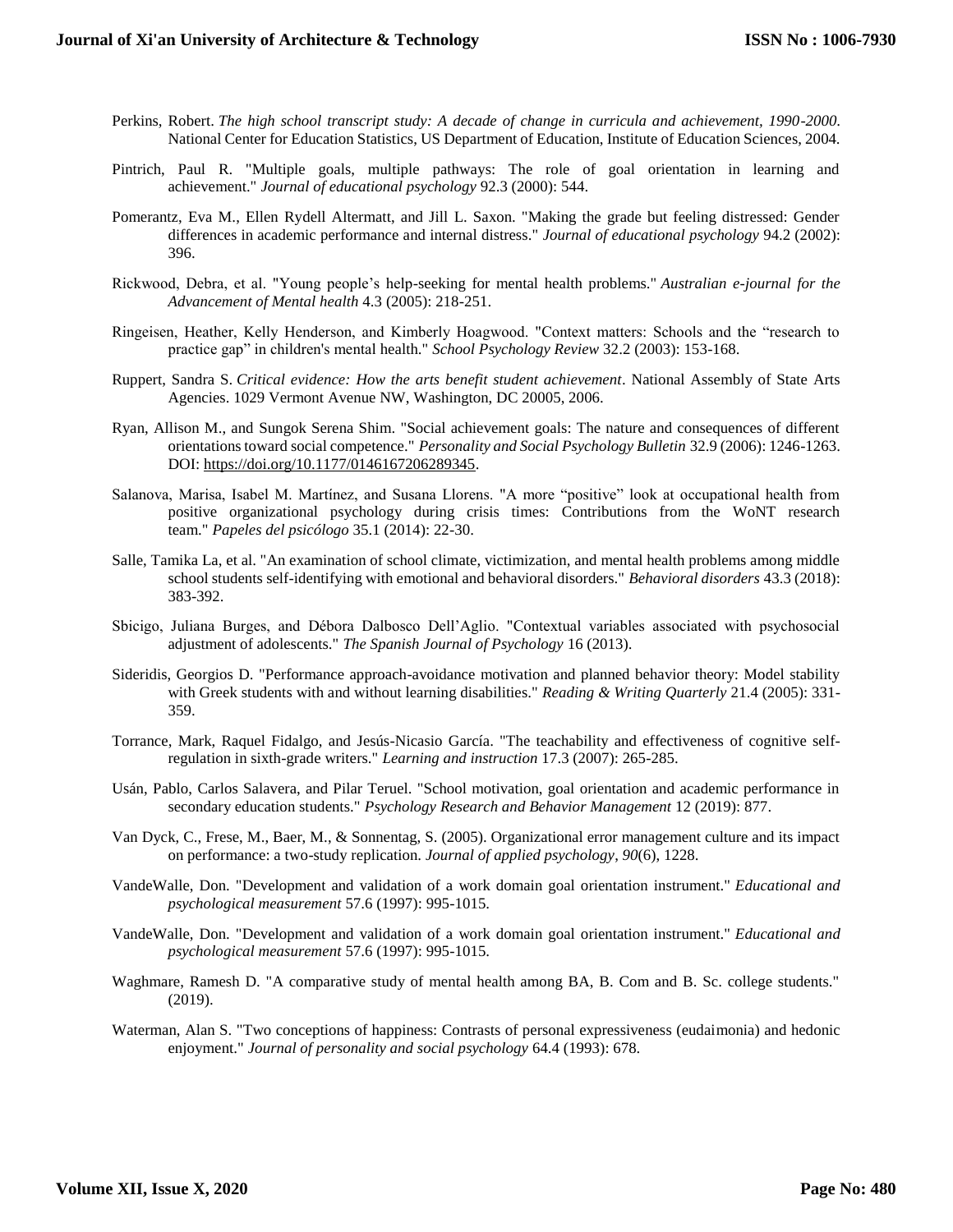- Perkins, Robert. *The high school transcript study: A decade of change in curricula and achievement, 1990-2000*. National Center for Education Statistics, US Department of Education, Institute of Education Sciences, 2004.
- Pintrich, Paul R. "Multiple goals, multiple pathways: The role of goal orientation in learning and achievement." *Journal of educational psychology* 92.3 (2000): 544.
- Pomerantz, Eva M., Ellen Rydell Altermatt, and Jill L. Saxon. "Making the grade but feeling distressed: Gender differences in academic performance and internal distress." *Journal of educational psychology* 94.2 (2002): 396.
- Rickwood, Debra, et al. "Young people's help-seeking for mental health problems." *Australian e-journal for the Advancement of Mental health* 4.3 (2005): 218-251.
- Ringeisen, Heather, Kelly Henderson, and Kimberly Hoagwood. "Context matters: Schools and the "research to practice gap" in children's mental health." *School Psychology Review* 32.2 (2003): 153-168.
- Ruppert, Sandra S. *Critical evidence: How the arts benefit student achievement*. National Assembly of State Arts Agencies. 1029 Vermont Avenue NW, Washington, DC 20005, 2006.
- Ryan, Allison M., and Sungok Serena Shim. "Social achievement goals: The nature and consequences of different orientations toward social competence." *Personality and Social Psychology Bulletin* 32.9 (2006): 1246-1263. DOI: [https://doi.org/10.1177/0146167206289345.](https://doi.org/10.1177/0146167206289345)
- Salanova, Marisa, Isabel M. Martínez, and Susana Llorens. "A more "positive" look at occupational health from positive organizational psychology during crisis times: Contributions from the WoNT research team." *Papeles del psicólogo* 35.1 (2014): 22-30.
- Salle, Tamika La, et al. "An examination of school climate, victimization, and mental health problems among middle school students self-identifying with emotional and behavioral disorders." *Behavioral disorders* 43.3 (2018): 383-392.
- Sbicigo, Juliana Burges, and Débora Dalbosco Dell'Aglio. "Contextual variables associated with psychosocial adjustment of adolescents." *The Spanish Journal of Psychology* 16 (2013).
- Sideridis, Georgios D. "Performance approach-avoidance motivation and planned behavior theory: Model stability with Greek students with and without learning disabilities." *Reading & Writing Quarterly* 21.4 (2005): 331- 359.
- Torrance, Mark, Raquel Fidalgo, and Jesús-Nicasio García. "The teachability and effectiveness of cognitive selfregulation in sixth-grade writers." *Learning and instruction* 17.3 (2007): 265-285.
- Usán, Pablo, Carlos Salavera, and Pilar Teruel. "School motivation, goal orientation and academic performance in secondary education students." *Psychology Research and Behavior Management* 12 (2019): 877.
- Van Dyck, C., Frese, M., Baer, M., & Sonnentag, S. (2005). Organizational error management culture and its impact on performance: a two-study replication. *Journal of applied psychology*, *90*(6), 1228.
- VandeWalle, Don. "Development and validation of a work domain goal orientation instrument." *Educational and psychological measurement* 57.6 (1997): 995-1015.
- VandeWalle, Don. "Development and validation of a work domain goal orientation instrument." *Educational and psychological measurement* 57.6 (1997): 995-1015.
- Waghmare, Ramesh D. "A comparative study of mental health among BA, B. Com and B. Sc. college students." (2019).
- Waterman, Alan S. "Two conceptions of happiness: Contrasts of personal expressiveness (eudaimonia) and hedonic enjoyment." *Journal of personality and social psychology* 64.4 (1993): 678.